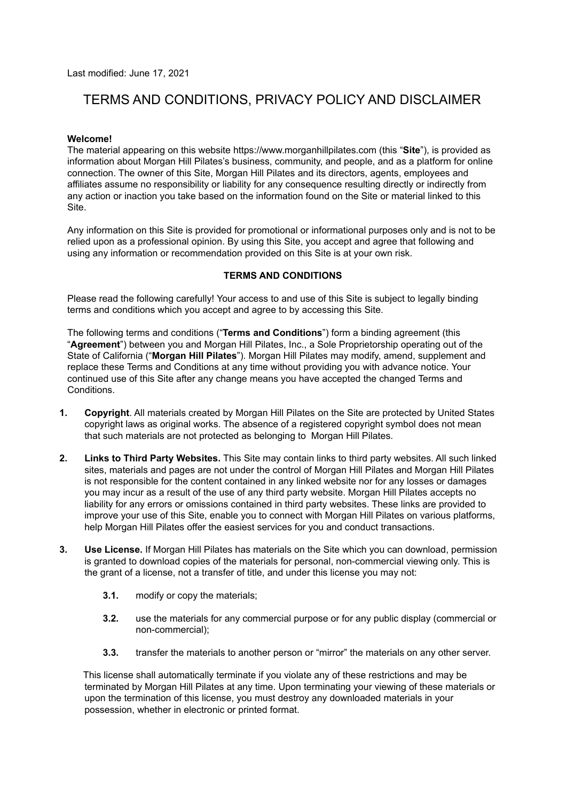Last modified: June 17, 2021

# TERMS AND CONDITIONS, PRIVACY POLICY AND DISCLAIMER

## **Welcome!**

The material appearing on this website https://www.morganhillpilates.com (this "**Site**"), is provided as information about Morgan Hill Pilates's business, community, and people, and as a platform for online connection. The owner of this Site, Morgan Hill Pilates and its directors, agents, employees and affiliates assume no responsibility or liability for any consequence resulting directly or indirectly from any action or inaction you take based on the information found on the Site or material linked to this Site.

Any information on this Site is provided for promotional or informational purposes only and is not to be relied upon as a professional opinion. By using this Site, you accept and agree that following and using any information or recommendation provided on this Site is at your own risk.

#### **TERMS AND CONDITIONS**

Please read the following carefully! Your access to and use of this Site is subject to legally binding terms and conditions which you accept and agree to by accessing this Site.

The following terms and conditions ("**Terms and Conditions**") form a binding agreement (this "**Agreement**") between you and Morgan Hill Pilates, Inc., a Sole Proprietorship operating out of the State of California ("**Morgan Hill Pilates**"). Morgan Hill Pilates may modify, amend, supplement and replace these Terms and Conditions at any time without providing you with advance notice. Your continued use of this Site after any change means you have accepted the changed Terms and Conditions.

- **1. Copyright**. All materials created by Morgan Hill Pilates on the Site are protected by United States copyright laws as original works. The absence of a registered copyright symbol does not mean that such materials are not protected as belonging to Morgan Hill Pilates.
- **2. Links to Third Party Websites.** This Site may contain links to third party websites. All such linked sites, materials and pages are not under the control of Morgan Hill Pilates and Morgan Hill Pilates is not responsible for the content contained in any linked website nor for any losses or damages you may incur as a result of the use of any third party website. Morgan Hill Pilates accepts no liability for any errors or omissions contained in third party websites. These links are provided to improve your use of this Site, enable you to connect with Morgan Hill Pilates on various platforms, help Morgan Hill Pilates offer the easiest services for you and conduct transactions.
- **3. Use License.** If Morgan Hill Pilates has materials on the Site which you can download, permission is granted to download copies of the materials for personal, non-commercial viewing only. This is the grant of a license, not a transfer of title, and under this license you may not:
	- **3.1.** modify or copy the materials;
	- **3.2.** use the materials for any commercial purpose or for any public display (commercial or non-commercial);
	- **3.3.** transfer the materials to another person or "mirror" the materials on any other server.

This license shall automatically terminate if you violate any of these restrictions and may be terminated by Morgan Hill Pilates at any time. Upon terminating your viewing of these materials or upon the termination of this license, you must destroy any downloaded materials in your possession, whether in electronic or printed format.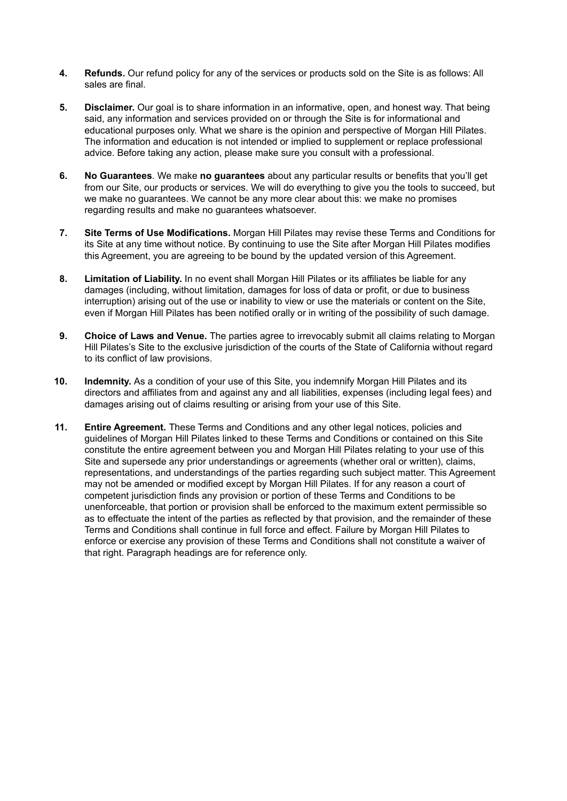- **4. Refunds.** Our refund policy for any of the services or products sold on the Site is as follows: All sales are final.
- **5. Disclaimer.** Our goal is to share information in an informative, open, and honest way. That being said, any information and services provided on or through the Site is for informational and educational purposes only. What we share is the opinion and perspective of Morgan Hill Pilates. The information and education is not intended or implied to supplement or replace professional advice. Before taking any action, please make sure you consult with a professional.
- **6. No Guarantees**. We make **no guarantees** about any particular results or benefits that you'll get from our Site, our products or services. We will do everything to give you the tools to succeed, but we make no guarantees. We cannot be any more clear about this: we make no promises regarding results and make no guarantees whatsoever.
- **7. Site Terms of Use Modifications.** Morgan Hill Pilates may revise these Terms and Conditions for its Site at any time without notice. By continuing to use the Site after Morgan Hill Pilates modifies this Agreement, you are agreeing to be bound by the updated version of this Agreement.
- **8. Limitation of Liability.** In no event shall Morgan Hill Pilates or its affiliates be liable for any damages (including, without limitation, damages for loss of data or profit, or due to business interruption) arising out of the use or inability to view or use the materials or content on the Site, even if Morgan Hill Pilates has been notified orally or in writing of the possibility of such damage.
- **9. Choice of Laws and Venue.** The parties agree to irrevocably submit all claims relating to Morgan Hill Pilates's Site to the exclusive jurisdiction of the courts of the State of California without regard to its conflict of law provisions.
- **10. Indemnity.** As a condition of your use of this Site, you indemnify Morgan Hill Pilates and its directors and affiliates from and against any and all liabilities, expenses (including legal fees) and damages arising out of claims resulting or arising from your use of this Site.
- **11. Entire Agreement.** These Terms and Conditions and any other legal notices, policies and guidelines of Morgan Hill Pilates linked to these Terms and Conditions or contained on this Site constitute the entire agreement between you and Morgan Hill Pilates relating to your use of this Site and supersede any prior understandings or agreements (whether oral or written), claims, representations, and understandings of the parties regarding such subject matter. This Agreement may not be amended or modified except by Morgan Hill Pilates. If for any reason a court of competent jurisdiction finds any provision or portion of these Terms and Conditions to be unenforceable, that portion or provision shall be enforced to the maximum extent permissible so as to effectuate the intent of the parties as reflected by that provision, and the remainder of these Terms and Conditions shall continue in full force and effect. Failure by Morgan Hill Pilates to enforce or exercise any provision of these Terms and Conditions shall not constitute a waiver of that right. Paragraph headings are for reference only.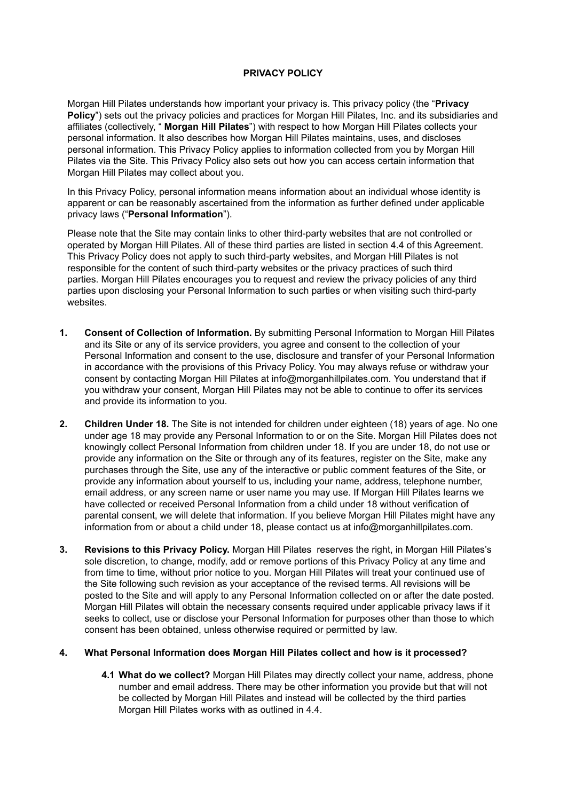## **PRIVACY POLICY**

Morgan Hill Pilates understands how important your privacy is. This privacy policy (the "**Privacy Policy**") sets out the privacy policies and practices for Morgan Hill Pilates, Inc. and its subsidiaries and affiliates (collectively, " **Morgan Hill Pilates**") with respect to how Morgan Hill Pilates collects your personal information. It also describes how Morgan Hill Pilates maintains, uses, and discloses personal information. This Privacy Policy applies to information collected from you by Morgan Hill Pilates via the Site. This Privacy Policy also sets out how you can access certain information that Morgan Hill Pilates may collect about you.

In this Privacy Policy, personal information means information about an individual whose identity is apparent or can be reasonably ascertained from the information as further defined under applicable privacy laws ("**Personal Information**").

Please note that the Site may contain links to other third-party websites that are not controlled or operated by Morgan Hill Pilates. All of these third parties are listed in section 4.4 of this Agreement. This Privacy Policy does not apply to such third-party websites, and Morgan Hill Pilates is not responsible for the content of such third-party websites or the privacy practices of such third parties. Morgan Hill Pilates encourages you to request and review the privacy policies of any third parties upon disclosing your Personal Information to such parties or when visiting such third-party websites.

- **1. Consent of Collection of Information.** By submitting Personal Information to Morgan Hill Pilates and its Site or any of its service providers, you agree and consent to the collection of your Personal Information and consent to the use, disclosure and transfer of your Personal Information in accordance with the provisions of this Privacy Policy. You may always refuse or withdraw your consent by contacting Morgan Hill Pilates at info@morganhillpilates.com. You understand that if you withdraw your consent, Morgan Hill Pilates may not be able to continue to offer its services and provide its information to you.
- **2. Children Under 18.** The Site is not intended for children under eighteen (18) years of age. No one under age 18 may provide any Personal Information to or on the Site. Morgan Hill Pilates does not knowingly collect Personal Information from children under 18. If you are under 18, do not use or provide any information on the Site or through any of its features, register on the Site, make any purchases through the Site, use any of the interactive or public comment features of the Site, or provide any information about yourself to us, including your name, address, telephone number, email address, or any screen name or user name you may use. If Morgan Hill Pilates learns we have collected or received Personal Information from a child under 18 without verification of parental consent, we will delete that information. If you believe Morgan Hill Pilates might have any information from or about a child under 18, please contact us at info@morganhillpilates.com.
- **3. Revisions to this Privacy Policy.** Morgan Hill Pilates reserves the right, in Morgan Hill Pilates's sole discretion, to change, modify, add or remove portions of this Privacy Policy at any time and from time to time, without prior notice to you. Morgan Hill Pilates will treat your continued use of the Site following such revision as your acceptance of the revised terms. All revisions will be posted to the Site and will apply to any Personal Information collected on or after the date posted. Morgan Hill Pilates will obtain the necessary consents required under applicable privacy laws if it seeks to collect, use or disclose your Personal Information for purposes other than those to which consent has been obtained, unless otherwise required or permitted by law.

## **4. What Personal Information does Morgan Hill Pilates collect and how is it processed?**

**4.1 What do we collect?** Morgan Hill Pilates may directly collect your name, address, phone number and email address. There may be other information you provide but that will not be collected by Morgan Hill Pilates and instead will be collected by the third parties Morgan Hill Pilates works with as outlined in 4.4.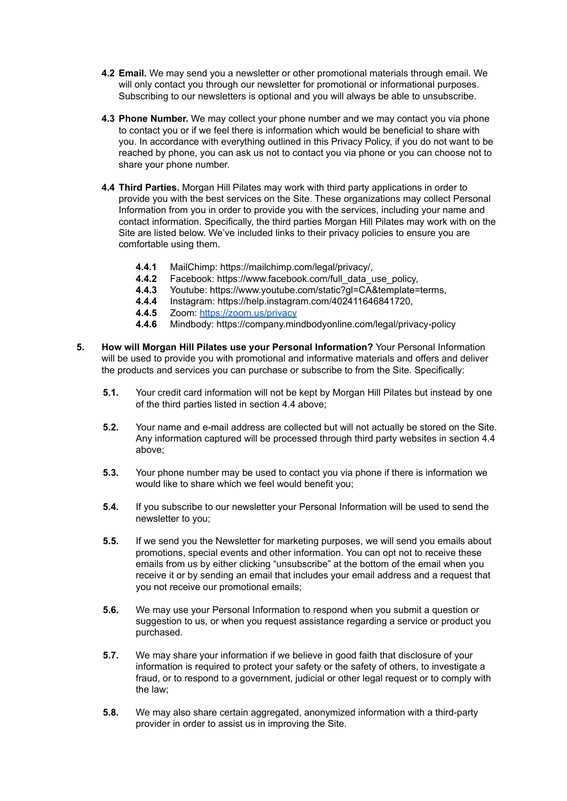- **4.2 Email.** We may send you a newsletter or other promotional materials through email. We will only contact you through our newsletter for promotional or informational purposes. Subscribing to our newsletters is optional and you will always be able to unsubscribe.
- **4.3 Phone Number.** We may collect your phone number and we may contact you via phone to contact you or if we feel there is information which would be beneficial to share with you. In accordance with everything outlined in this Privacy Policy, if you do not want to be reached by phone, you can ask us not to contact you via phone or you can choose not to share your phone number.
- **4.4 Third Parties.** Morgan Hill Pilates may work with third party applications in order to provide you with the best services on the Site. These organizations may collect Personal Information from you in order to provide you with the services, including your name and contact information. Specifically, the third parties Morgan Hill Pilates may work with on the Site are listed below. We've included links to their privacy policies to ensure you are comfortable using them.
	- **4.4.1** MailChimp: https://mailchimp.com/legal/privacy/,
	- **4.4.2** Facebook: https://www.facebook.com/full\_data\_use\_policy,
	- **4.4.3** Youtube: https://www.youtube.com/static?gl=CA&template=terms,
	- **4.4.4** Instagram: https://help.instagram.com/402411646841720,
	- **4.4.5** Zoom: <https://zoom.us/privacy>
	- **4.4.6** Mindbody: https://company.mindbodyonline.com/legal/privacy-policy
- **5. How will Morgan Hill Pilates use your Personal Information?** Your Personal Information will be used to provide you with promotional and informative materials and offers and deliver the products and services you can purchase or subscribe to from the Site. Specifically:
	- **5.1.** Your credit card information will not be kept by Morgan Hill Pilates but instead by one of the third parties listed in section 4.4 above;
	- **5.2.** Your name and e-mail address are collected but will not actually be stored on the Site. Any information captured will be processed through third party websites in section 4.4 above;
	- **5.3.** Your phone number may be used to contact you via phone if there is information we would like to share which we feel would benefit you;
	- **5.4.** If you subscribe to our newsletter your Personal Information will be used to send the newsletter to you;
	- **5.5.** If we send you the Newsletter for marketing purposes, we will send you emails about promotions, special events and other information. You can opt not to receive these emails from us by either clicking "unsubscribe" at the bottom of the email when you receive it or by sending an email that includes your email address and a request that you not receive our promotional emails;
	- **5.6.** We may use your Personal Information to respond when you submit a question or suggestion to us, or when you request assistance regarding a service or product you purchased.
	- **5.7.** We may share your information if we believe in good faith that disclosure of your information is required to protect your safety or the safety of others, to investigate a fraud, or to respond to a government, judicial or other legal request or to comply with the law;
	- **5.8.** We may also share certain aggregated, anonymized information with a third-party provider in order to assist us in improving the Site.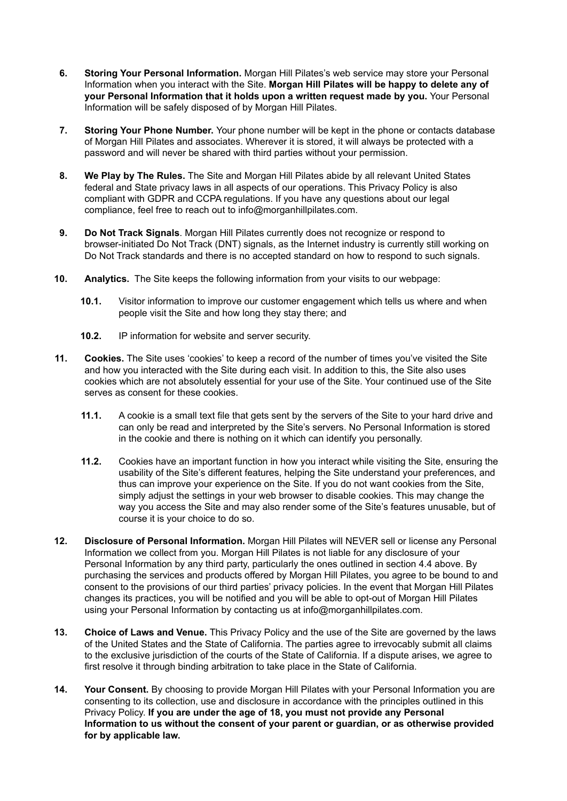- **6. Storing Your Personal Information.** Morgan Hill Pilates's web service may store your Personal Information when you interact with the Site. **Morgan Hill Pilates will be happy to delete any of your Personal Information that it holds upon a written request made by you.** Your Personal Information will be safely disposed of by Morgan Hill Pilates.
- **7. Storing Your Phone Number.** Your phone number will be kept in the phone or contacts database of Morgan Hill Pilates and associates. Wherever it is stored, it will always be protected with a password and will never be shared with third parties without your permission.
- **8. We Play by The Rules.** The Site and Morgan Hill Pilates abide by all relevant United States federal and State privacy laws in all aspects of our operations. This Privacy Policy is also compliant with GDPR and CCPA regulations. If you have any questions about our legal compliance, feel free to reach out to info@morganhillpilates.com.
- **9. Do Not Track Signals**. Morgan Hill Pilates currently does not recognize or respond to browser-initiated Do Not Track (DNT) signals, as the Internet industry is currently still working on Do Not Track standards and there is no accepted standard on how to respond to such signals.
- **10. Analytics.** The Site keeps the following information from your visits to our webpage:
	- **10.1.** Visitor information to improve our customer engagement which tells us where and when people visit the Site and how long they stay there; and
	- **10.2.** IP information for website and server security.
- **11. Cookies.** The Site uses 'cookies' to keep a record of the number of times you've visited the Site and how you interacted with the Site during each visit. In addition to this, the Site also uses cookies which are not absolutely essential for your use of the Site. Your continued use of the Site serves as consent for these cookies.
	- **11.1.** A cookie is a small text file that gets sent by the servers of the Site to your hard drive and can only be read and interpreted by the Site's servers. No Personal Information is stored in the cookie and there is nothing on it which can identify you personally.
	- **11.2.** Cookies have an important function in how you interact while visiting the Site, ensuring the usability of the Site's different features, helping the Site understand your preferences, and thus can improve your experience on the Site. If you do not want cookies from the Site, simply adjust the settings in your web browser to disable cookies. This may change the way you access the Site and may also render some of the Site's features unusable, but of course it is your choice to do so.
- **12. Disclosure of Personal Information.** Morgan Hill Pilates will NEVER sell or license any Personal Information we collect from you. Morgan Hill Pilates is not liable for any disclosure of your Personal Information by any third party, particularly the ones outlined in section 4.4 above. By purchasing the services and products offered by Morgan Hill Pilates, you agree to be bound to and consent to the provisions of our third parties' privacy policies. In the event that Morgan Hill Pilates changes its practices, you will be notified and you will be able to opt-out of Morgan Hill Pilates using your Personal Information by contacting us at info@morganhillpilates.com.
- **13. Choice of Laws and Venue.** This Privacy Policy and the use of the Site are governed by the laws of the United States and the State of California. The parties agree to irrevocably submit all claims to the exclusive jurisdiction of the courts of the State of California. If a dispute arises, we agree to first resolve it through binding arbitration to take place in the State of California.
- **14. Your Consent.** By choosing to provide Morgan Hill Pilates with your Personal Information you are consenting to its collection, use and disclosure in accordance with the principles outlined in this Privacy Policy. **If you are under the age of 18, you must not provide any Personal Information to us without the consent of your parent or guardian, or as otherwise provided for by applicable law.**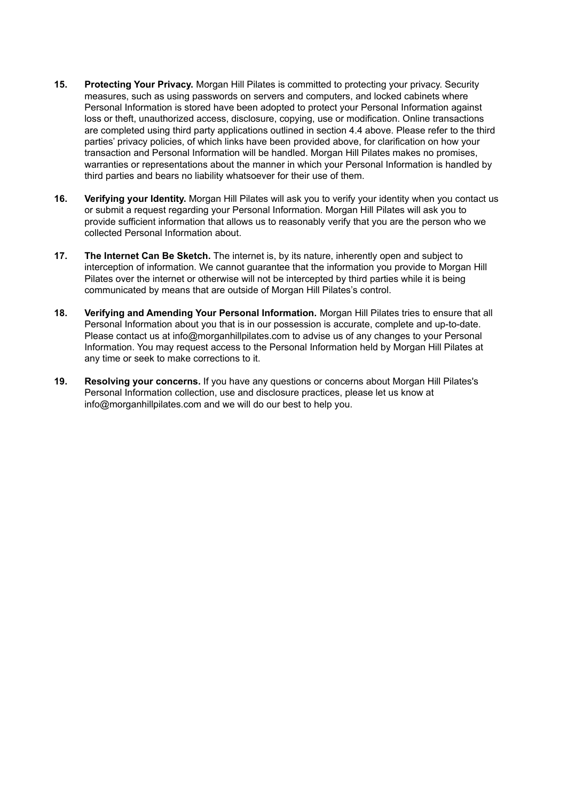- **15. Protecting Your Privacy.** Morgan Hill Pilates is committed to protecting your privacy. Security measures, such as using passwords on servers and computers, and locked cabinets where Personal Information is stored have been adopted to protect your Personal Information against loss or theft, unauthorized access, disclosure, copying, use or modification. Online transactions are completed using third party applications outlined in section 4.4 above. Please refer to the third parties' privacy policies, of which links have been provided above, for clarification on how your transaction and Personal Information will be handled. Morgan Hill Pilates makes no promises, warranties or representations about the manner in which your Personal Information is handled by third parties and bears no liability whatsoever for their use of them.
- **16. Verifying your Identity.** Morgan Hill Pilates will ask you to verify your identity when you contact us or submit a request regarding your Personal Information. Morgan Hill Pilates will ask you to provide sufficient information that allows us to reasonably verify that you are the person who we collected Personal Information about.
- **17. The Internet Can Be Sketch.** The internet is, by its nature, inherently open and subject to interception of information. We cannot guarantee that the information you provide to Morgan Hill Pilates over the internet or otherwise will not be intercepted by third parties while it is being communicated by means that are outside of Morgan Hill Pilates's control.
- **18. Verifying and Amending Your Personal Information.** Morgan Hill Pilates tries to ensure that all Personal Information about you that is in our possession is accurate, complete and up-to-date. Please contact us at info@morganhillpilates.com to advise us of any changes to your Personal Information. You may request access to the Personal Information held by Morgan Hill Pilates at any time or seek to make corrections to it.
- **19. Resolving your concerns.** If you have any questions or concerns about Morgan Hill Pilates's Personal Information collection, use and disclosure practices, please let us know at info@morganhillpilates.com and we will do our best to help you.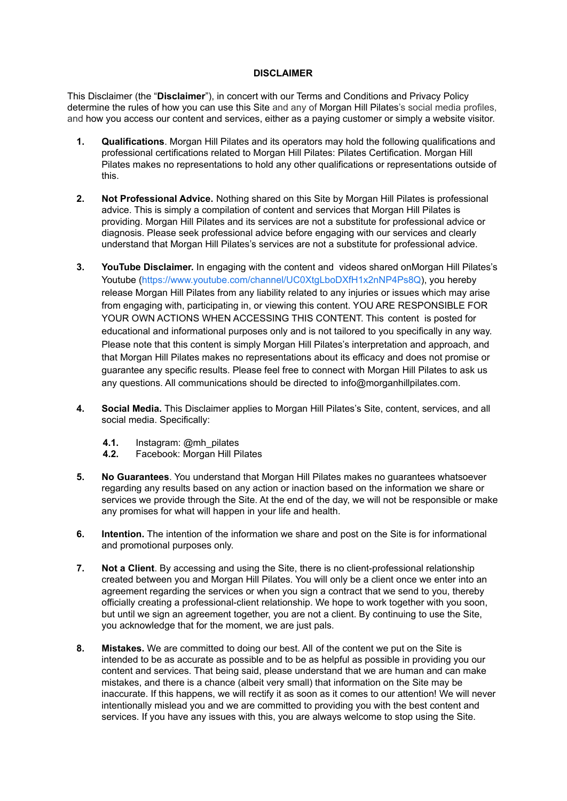## **DISCLAIMER**

This Disclaimer (the "**Disclaimer**"), in concert with our Terms and Conditions and Privacy Policy determine the rules of how you can use this Site and any of Morgan Hill Pilates's social media profiles, and how you access our content and services, either as a paying customer or simply a website visitor.

- **1. Qualifications**. Morgan Hill Pilates and its operators may hold the following qualifications and professional certifications related to Morgan Hill Pilates: Pilates Certification. Morgan Hill Pilates makes no representations to hold any other qualifications or representations outside of this.
- **2. Not Professional Advice.** Nothing shared on this Site by Morgan Hill Pilates is professional advice. This is simply a compilation of content and services that Morgan Hill Pilates is providing. Morgan Hill Pilates and its services are not a substitute for professional advice or diagnosis. Please seek professional advice before engaging with our services and clearly understand that Morgan Hill Pilates's services are not a substitute for professional advice.
- **3. YouTube Disclaimer.** In engaging with the content and videos shared onMorgan Hill Pilates's Youtube [\(https://www.youtube.com/channel/UC0XtgLboDXfH1x2nNP4Ps8Q\)](https://www.youtube.com/channel/UC0XtgLboDXfH1x2nNP4Ps8Q), you hereby release Morgan Hill Pilates from any liability related to any injuries or issues which may arise from engaging with, participating in, or viewing this content. YOU ARE RESPONSIBLE FOR YOUR OWN ACTIONS WHEN ACCESSING THIS CONTENT. This content is posted for educational and informational purposes only and is not tailored to you specifically in any way. Please note that this content is simply Morgan Hill Pilates's interpretation and approach, and that Morgan Hill Pilates makes no representations about its efficacy and does not promise or guarantee any specific results. Please feel free to connect with Morgan Hill Pilates to ask us any questions. All communications should be directed to info@morganhillpilates.com.
- **4. Social Media.** This Disclaimer applies to Morgan Hill Pilates's Site, content, services, and all social media. Specifically:
	- **4.1.** Instagram: @mh\_pilates
	- **4.2.** Facebook: Morgan Hill Pilates
- **5. No Guarantees**. You understand that Morgan Hill Pilates makes no guarantees whatsoever regarding any results based on any action or inaction based on the information we share or services we provide through the Site. At the end of the day, we will not be responsible or make any promises for what will happen in your life and health.
- **6. Intention.** The intention of the information we share and post on the Site is for informational and promotional purposes only.
- **7. Not a Client**. By accessing and using the Site, there is no client-professional relationship created between you and Morgan Hill Pilates. You will only be a client once we enter into an agreement regarding the services or when you sign a contract that we send to you, thereby officially creating a professional-client relationship. We hope to work together with you soon, but until we sign an agreement together, you are not a client. By continuing to use the Site, you acknowledge that for the moment, we are just pals.
- **8. Mistakes.** We are committed to doing our best. All of the content we put on the Site is intended to be as accurate as possible and to be as helpful as possible in providing you our content and services. That being said, please understand that we are human and can make mistakes, and there is a chance (albeit very small) that information on the Site may be inaccurate. If this happens, we will rectify it as soon as it comes to our attention! We will never intentionally mislead you and we are committed to providing you with the best content and services. If you have any issues with this, you are always welcome to stop using the Site.